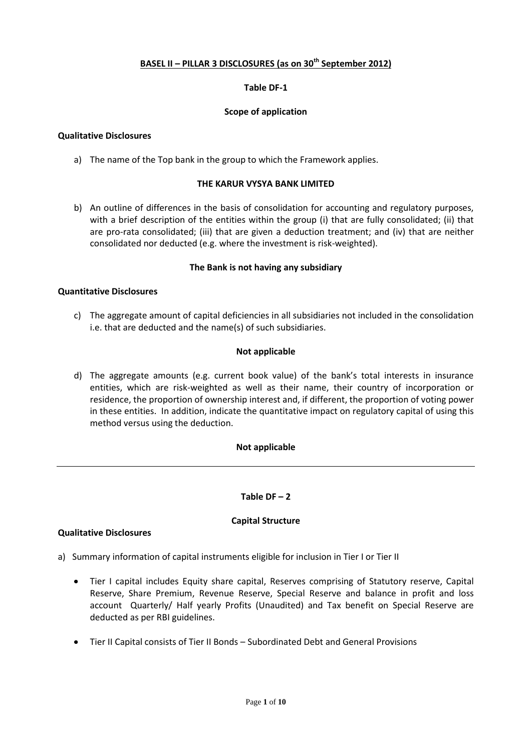## **BASEL II – PILLAR 3 DISCLOSURES (as on 30th September 2012)**

## **Table DF-1**

## **Scope of application**

## **Qualitative Disclosures**

a) The name of the Top bank in the group to which the Framework applies.

## **THE KARUR VYSYA BANK LIMITED**

b) An outline of differences in the basis of consolidation for accounting and regulatory purposes, with a brief description of the entities within the group (i) that are fully consolidated; (ii) that are pro-rata consolidated; (iii) that are given a deduction treatment; and (iv) that are neither consolidated nor deducted (e.g. where the investment is risk-weighted).

## **The Bank is not having any subsidiary**

## **Quantitative Disclosures**

c) The aggregate amount of capital deficiencies in all subsidiaries not included in the consolidation i.e. that are deducted and the name(s) of such subsidiaries.

## **Not applicable**

d) The aggregate amounts (e.g. current book value) of the bank's total interests in insurance entities, which are risk-weighted as well as their name, their country of incorporation or residence, the proportion of ownership interest and, if different, the proportion of voting power in these entities. In addition, indicate the quantitative impact on regulatory capital of using this method versus using the deduction.

## **Not applicable**

# Table  $DF - 2$

## **Capital Structure**

## **Qualitative Disclosures**

- a) Summary information of capital instruments eligible for inclusion in Tier I or Tier II
	- Tier I capital includes Equity share capital, Reserves comprising of Statutory reserve, Capital Reserve, Share Premium, Revenue Reserve, Special Reserve and balance in profit and loss account Quarterly/ Half yearly Profits (Unaudited) and Tax benefit on Special Reserve are deducted as per RBI guidelines.
	- Tier II Capital consists of Tier II Bonds Subordinated Debt and General Provisions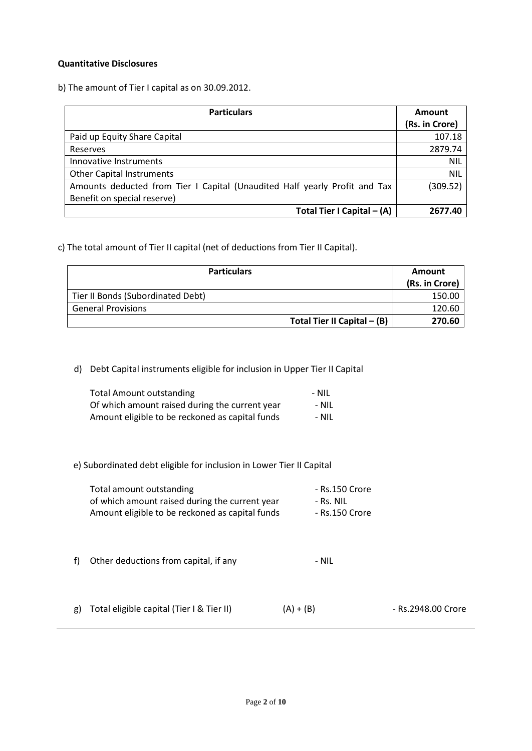## **Quantitative Disclosures**

b) The amount of Tier I capital as on 30.09.2012.

| <b>Particulars</b>                                                         | Amount         |
|----------------------------------------------------------------------------|----------------|
|                                                                            | (Rs. in Crore) |
| Paid up Equity Share Capital                                               | 107.18         |
| Reserves                                                                   | 2879.74        |
| Innovative Instruments                                                     | <b>NIL</b>     |
| <b>Other Capital Instruments</b>                                           | <b>NIL</b>     |
| Amounts deducted from Tier I Capital (Unaudited Half yearly Profit and Tax | (309.52)       |
| Benefit on special reserve)                                                |                |
| Total Tier I Capital - (A)                                                 | 2677.40        |

c) The total amount of Tier II capital (net of deductions from Tier II Capital).

| <b>Particulars</b>                | Amount         |
|-----------------------------------|----------------|
|                                   | (Rs. in Crore) |
| Tier II Bonds (Subordinated Debt) | 150.00         |
| <b>General Provisions</b>         | 120.60         |
| Total Tier II Capital $-$ (B)     | 270.60         |

d) Debt Capital instruments eligible for inclusion in Upper Tier II Capital

| <b>Total Amount outstanding</b>                 | - NIL |
|-------------------------------------------------|-------|
| Of which amount raised during the current year  | - Nil |
| Amount eligible to be reckoned as capital funds | - Nil |

e) Subordinated debt eligible for inclusion in Lower Tier II Capital

| Total amount outstanding                        | - Rs.150 Crore |
|-------------------------------------------------|----------------|
| of which amount raised during the current year  | - Rs. NIL      |
| Amount eligible to be reckoned as capital funds | - Rs.150 Crore |

f) Other deductions from capital, if any Theorem 2011 - NIL

g) Total eligible capital (Tier I & Tier II)  $(A) + (B)$  - Rs.2948.00 Crore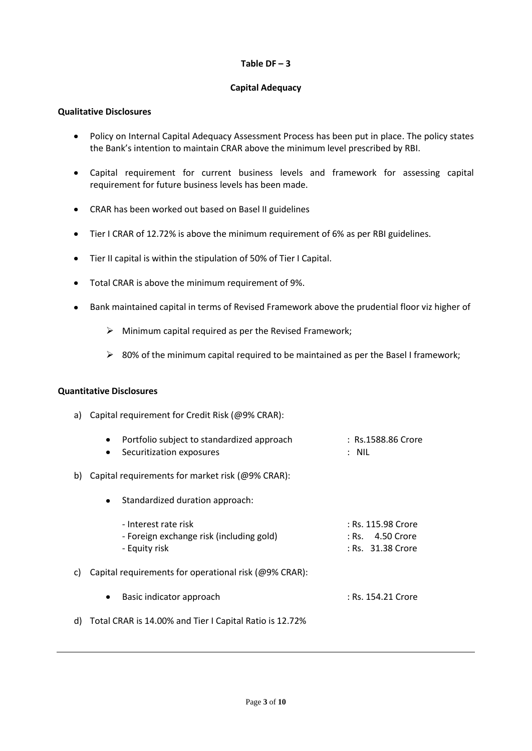## $Table DF - 3$

# **Capital Adequacy**

## **Qualitative Disclosures**

- Policy on Internal Capital Adequacy Assessment Process has been put in place. The policy states  $\bullet$ the Bank's intention to maintain CRAR above the minimum level prescribed by RBI.
- $\bullet$ Capital requirement for current business levels and framework for assessing capital requirement for future business levels has been made.
- CRAR has been worked out based on Basel II guidelines
- Tier I CRAR of 12.72% is above the minimum requirement of 6% as per RBI guidelines.
- Tier II capital is within the stipulation of 50% of Tier I Capital.
- Total CRAR is above the minimum requirement of 9%.
- Bank maintained capital in terms of Revised Framework above the prudential floor viz higher of
	- $\triangleright$  Minimum capital required as per the Revised Framework;
	- $\geq$  80% of the minimum capital required to be maintained as per the Basel I framework;

## **Quantitative Disclosures**

a) Capital requirement for Credit Risk (@9% CRAR):

|     | Portfolio subject to standardized approach<br>Securitization exposures            | : Rs.1588.86 Crore<br>$:$ NIL                               |
|-----|-----------------------------------------------------------------------------------|-------------------------------------------------------------|
| b). | Capital requirements for market risk (@9% CRAR):                                  |                                                             |
|     | Standardized duration approach:<br>٠                                              |                                                             |
|     | - Interest rate risk<br>- Foreign exchange risk (including gold)<br>- Equity risk | : Rs. 115.98 Crore<br>: Rs. 4.50 Crore<br>: Rs. 31.38 Crore |
| c). | Capital requirements for operational risk (@9% CRAR):                             |                                                             |
|     | Basic indicator approach<br>٠                                                     | : Rs. 154.21 Crore                                          |
|     | d) Total CRAR is 14.00% and Tier I Capital Ratio is 12.72%                        |                                                             |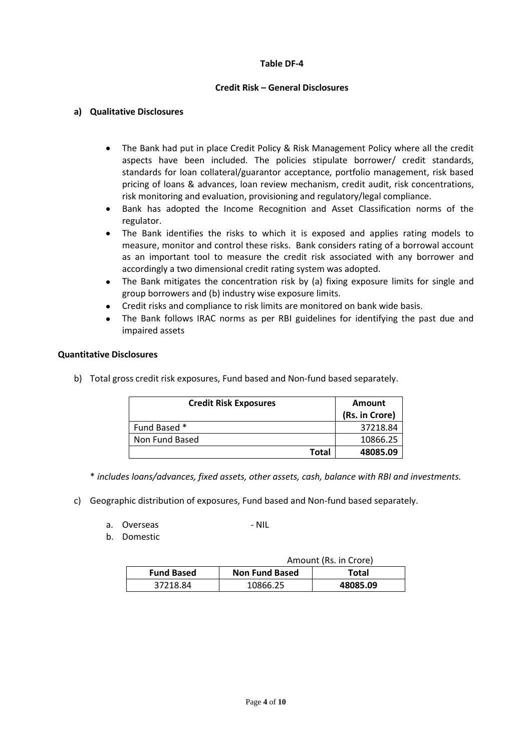## **Table DF-4**

## **Credit Risk – General Disclosures**

## **a) Qualitative Disclosures**

- The Bank had put in place Credit Policy & Risk Management Policy where all the credit  $\bullet$ aspects have been included. The policies stipulate borrower/ credit standards, standards for loan collateral/guarantor acceptance, portfolio management, risk based pricing of loans & advances, loan review mechanism, credit audit, risk concentrations, risk monitoring and evaluation, provisioning and regulatory/legal compliance.
- Bank has adopted the Income Recognition and Asset Classification norms of the regulator.
- The Bank identifies the risks to which it is exposed and applies rating models to measure, monitor and control these risks. Bank considers rating of a borrowal account as an important tool to measure the credit risk associated with any borrower and accordingly a two dimensional credit rating system was adopted.
- The Bank mitigates the concentration risk by (a) fixing exposure limits for single and group borrowers and (b) industry wise exposure limits.
- Credit risks and compliance to risk limits are monitored on bank wide basis.
- The Bank follows IRAC norms as per RBI guidelines for identifying the past due and impaired assets

## **Quantitative Disclosures**

b) Total gross credit risk exposures, Fund based and Non-fund based separately.

| <b>Credit Risk Exposures</b> |       | <b>Amount</b><br>(Rs. in Crore) |
|------------------------------|-------|---------------------------------|
| Fund Based *                 |       | 37218.84                        |
| Non Fund Based               |       | 10866.25                        |
|                              | Total | 48085.09                        |

\* *includes loans/advances, fixed assets, other assets, cash, balance with RBI and investments.*

- c) Geographic distribution of exposures, Fund based and Non-fund based separately.
	- a. Overseas NIL
	- b. Domestic

| Amount (Rs. in Crore) |                       |          |
|-----------------------|-----------------------|----------|
| <b>Fund Based</b>     | <b>Non Fund Based</b> | Total    |
| 37218.84              | 10866.25              | 48085.09 |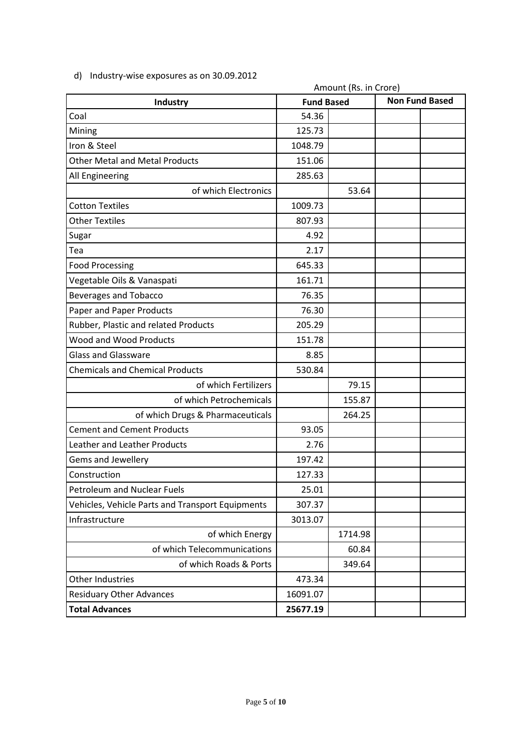|                                                  | Amount (Rs. in Crore) |         |                       |  |
|--------------------------------------------------|-----------------------|---------|-----------------------|--|
| Industry                                         | <b>Fund Based</b>     |         | <b>Non Fund Based</b> |  |
| Coal                                             | 54.36                 |         |                       |  |
| Mining                                           | 125.73                |         |                       |  |
| Iron & Steel                                     | 1048.79               |         |                       |  |
| <b>Other Metal and Metal Products</b>            | 151.06                |         |                       |  |
| All Engineering                                  | 285.63                |         |                       |  |
| of which Electronics                             |                       | 53.64   |                       |  |
| <b>Cotton Textiles</b>                           | 1009.73               |         |                       |  |
| <b>Other Textiles</b>                            | 807.93                |         |                       |  |
| Sugar                                            | 4.92                  |         |                       |  |
| Tea                                              | 2.17                  |         |                       |  |
| <b>Food Processing</b>                           | 645.33                |         |                       |  |
| Vegetable Oils & Vanaspati                       | 161.71                |         |                       |  |
| <b>Beverages and Tobacco</b>                     | 76.35                 |         |                       |  |
| Paper and Paper Products                         | 76.30                 |         |                       |  |
| Rubber, Plastic and related Products             | 205.29                |         |                       |  |
| Wood and Wood Products                           | 151.78                |         |                       |  |
| <b>Glass and Glassware</b>                       | 8.85                  |         |                       |  |
| <b>Chemicals and Chemical Products</b>           | 530.84                |         |                       |  |
| of which Fertilizers                             |                       | 79.15   |                       |  |
| of which Petrochemicals                          |                       | 155.87  |                       |  |
| of which Drugs & Pharmaceuticals                 |                       | 264.25  |                       |  |
| <b>Cement and Cement Products</b>                | 93.05                 |         |                       |  |
| Leather and Leather Products                     | 2.76                  |         |                       |  |
| Gems and Jewellery                               | 197.42                |         |                       |  |
| Construction                                     | 127.33                |         |                       |  |
| Petroleum and Nuclear Fuels                      | 25.01                 |         |                       |  |
| Vehicles, Vehicle Parts and Transport Equipments | 307.37                |         |                       |  |
| Infrastructure                                   | 3013.07               |         |                       |  |
| of which Energy                                  |                       | 1714.98 |                       |  |
| of which Telecommunications                      |                       | 60.84   |                       |  |
| of which Roads & Ports                           |                       | 349.64  |                       |  |
| Other Industries                                 | 473.34                |         |                       |  |
| <b>Residuary Other Advances</b>                  | 16091.07              |         |                       |  |
| <b>Total Advances</b>                            | 25677.19              |         |                       |  |
|                                                  |                       |         |                       |  |

d) Industry-wise exposures as on 30.09.2012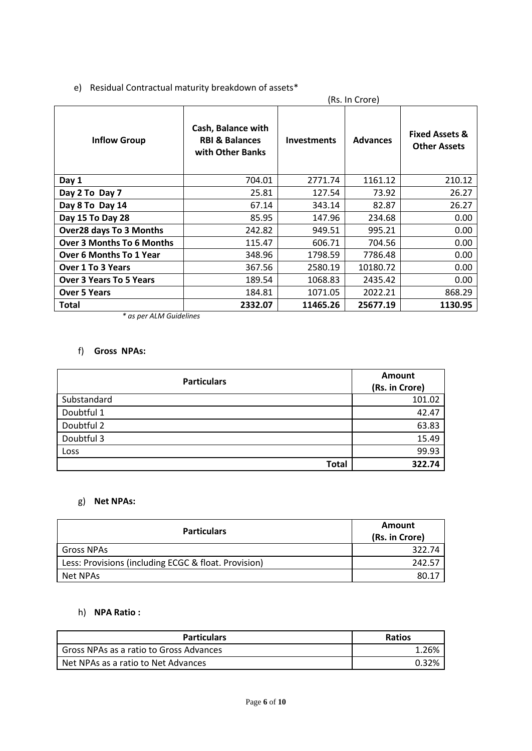# e) Residual Contractual maturity breakdown of assets\*

|                                  | (Rs. In Crore)                                                      |                    |                 |                                                  |
|----------------------------------|---------------------------------------------------------------------|--------------------|-----------------|--------------------------------------------------|
| <b>Inflow Group</b>              | Cash, Balance with<br><b>RBI &amp; Balances</b><br>with Other Banks | <b>Investments</b> | <b>Advances</b> | <b>Fixed Assets &amp;</b><br><b>Other Assets</b> |
| Day 1                            | 704.01                                                              | 2771.74            | 1161.12         | 210.12                                           |
| Day 2 To Day 7                   | 25.81                                                               | 127.54             | 73.92           | 26.27                                            |
| Day 8 To Day 14                  | 67.14                                                               | 343.14             | 82.87           | 26.27                                            |
| Day 15 To Day 28                 | 85.95                                                               | 147.96             | 234.68          | 0.00                                             |
| <b>Over28 days To 3 Months</b>   | 242.82                                                              | 949.51             | 995.21          | 0.00                                             |
| <b>Over 3 Months To 6 Months</b> | 115.47                                                              | 606.71             | 704.56          | 0.00                                             |
| <b>Over 6 Months To 1 Year</b>   | 348.96                                                              | 1798.59            | 7786.48         | 0.00                                             |
| <b>Over 1 To 3 Years</b>         | 367.56                                                              | 2580.19            | 10180.72        | 0.00                                             |
| <b>Over 3 Years To 5 Years</b>   | 189.54                                                              | 1068.83            | 2435.42         | 0.00                                             |
| <b>Over 5 Years</b>              | 184.81                                                              | 1071.05            | 2022.21         | 868.29                                           |
| Total                            | 2332.07                                                             | 11465.26           | 25677.19        | 1130.95                                          |

*\* as per ALM Guidelines*

# f) **Gross NPAs:**

| <b>Particulars</b> | <b>Amount</b><br>(Rs. in Crore) |
|--------------------|---------------------------------|
| Substandard        | 101.02                          |
| Doubtful 1         | 42.47                           |
| Doubtful 2         | 63.83                           |
| Doubtful 3         | 15.49                           |
| Loss               | 99.93                           |
| Total              | 322.74                          |

# g) **Net NPAs:**

| <b>Particulars</b>                                   | Amount<br>(Rs. in Crore) |
|------------------------------------------------------|--------------------------|
| <b>Gross NPAs</b>                                    | 322.74                   |
| Less: Provisions (including ECGC & float. Provision) | 242.57                   |
| Net NPAs                                             | 80.17                    |

# h) **NPA Ratio :**

| <b>Particulars</b>                      | <b>Ratios</b> |
|-----------------------------------------|---------------|
| Gross NPAs as a ratio to Gross Advances | 1.26%         |
| Net NPAs as a ratio to Net Advances     | በ 32%         |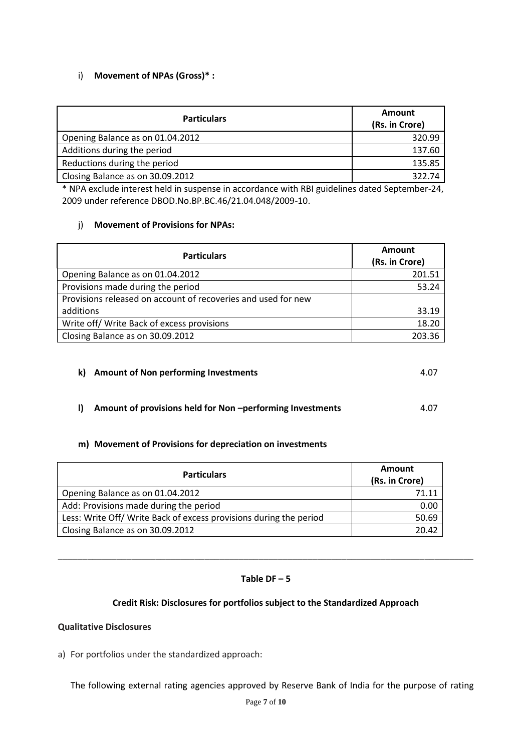# i) **Movement of NPAs (Gross)\* :**

| <b>Particulars</b>               | Amount<br>(Rs. in Crore) |
|----------------------------------|--------------------------|
| Opening Balance as on 01.04.2012 | 320.99                   |
| Additions during the period      | 137.60                   |
| Reductions during the period     | 135.85                   |
| Closing Balance as on 30.09.2012 | 322.74                   |

\* NPA exclude interest held in suspense in accordance with RBI guidelines dated September-24, 2009 under reference DBOD.No.BP.BC.46/21.04.048/2009-10.

## j) **Movement of Provisions for NPAs:**

| <b>Particulars</b>                                            | Amount         |
|---------------------------------------------------------------|----------------|
|                                                               | (Rs. in Crore) |
| Opening Balance as on 01.04.2012                              | 201.51         |
| Provisions made during the period                             | 53.24          |
| Provisions released on account of recoveries and used for new |                |
| additions                                                     | 33.19          |
| Write off/ Write Back of excess provisions                    | 18.20          |
| Closing Balance as on 30.09.2012                              | 203.36         |

## **k)** Amount of Non performing Investments 4.07

# **l)** Amount of provisions held for Non -performing Investments 4.07

## **m) Movement of Provisions for depreciation on investments**

| <b>Particulars</b>                                                 | <b>Amount</b><br>(Rs. in Crore) |
|--------------------------------------------------------------------|---------------------------------|
| Opening Balance as on 01.04.2012                                   | 71.11                           |
| Add: Provisions made during the period                             | 0.00                            |
| Less: Write Off/ Write Back of excess provisions during the period | 50.69                           |
| Closing Balance as on 30.09.2012                                   | 20.42                           |

## **Table DF – 5**

\_\_\_\_\_\_\_\_\_\_\_\_\_\_\_\_\_\_\_\_\_\_\_\_\_\_\_\_\_\_\_\_\_\_\_\_\_\_\_\_\_\_\_\_\_\_\_\_\_\_\_\_\_\_\_\_\_\_\_\_\_\_\_\_\_\_\_\_\_\_\_\_\_\_\_\_\_\_\_\_\_\_\_\_\_

## **Credit Risk: Disclosures for portfolios subject to the Standardized Approach**

## **Qualitative Disclosures**

a) For portfolios under the standardized approach:

The following external rating agencies approved by Reserve Bank of India for the purpose of rating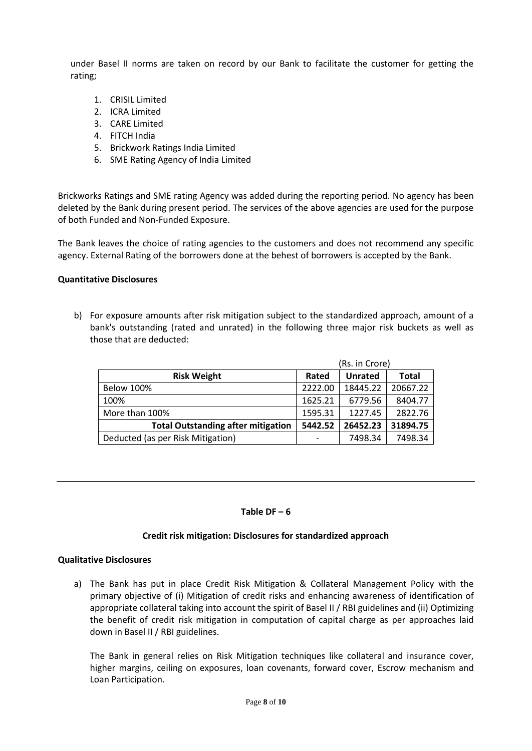under Basel II norms are taken on record by our Bank to facilitate the customer for getting the rating;

- 1. CRISIL Limited
- 2. ICRA Limited
- 3. CARE Limited
- 4. FITCH India
- 5. Brickwork Ratings India Limited
- 6. SME Rating Agency of India Limited

Brickworks Ratings and SME rating Agency was added during the reporting period. No agency has been deleted by the Bank during present period. The services of the above agencies are used for the purpose of both Funded and Non-Funded Exposure.

The Bank leaves the choice of rating agencies to the customers and does not recommend any specific agency. External Rating of the borrowers done at the behest of borrowers is accepted by the Bank.

## **Quantitative Disclosures**

b) For exposure amounts after risk mitigation subject to the standardized approach, amount of a bank's outstanding (rated and unrated) in the following three major risk buckets as well as those that are deducted:

|                                           | (Rs. in Crore) |                |              |
|-------------------------------------------|----------------|----------------|--------------|
| <b>Risk Weight</b>                        | Rated          | <b>Unrated</b> | <b>Total</b> |
| <b>Below 100%</b>                         | 2222.00        | 18445.22       | 20667.22     |
| 100%                                      | 1625.21        | 6779.56        | 8404.77      |
| More than 100%                            | 1595.31        | 1227.45        | 2822.76      |
| <b>Total Outstanding after mitigation</b> | 5442.52        | 26452.23       | 31894.75     |
| Deducted (as per Risk Mitigation)         |                | 7498.34        | 7498.34      |

#### Table  $DF - 6$

## **Credit risk mitigation: Disclosures for standardized approach**

#### **Qualitative Disclosures**

a) The Bank has put in place Credit Risk Mitigation & Collateral Management Policy with the primary objective of (i) Mitigation of credit risks and enhancing awareness of identification of appropriate collateral taking into account the spirit of Basel II / RBI guidelines and (ii) Optimizing the benefit of credit risk mitigation in computation of capital charge as per approaches laid down in Basel II / RBI guidelines.

The Bank in general relies on Risk Mitigation techniques like collateral and insurance cover, higher margins, ceiling on exposures, loan covenants, forward cover, Escrow mechanism and Loan Participation.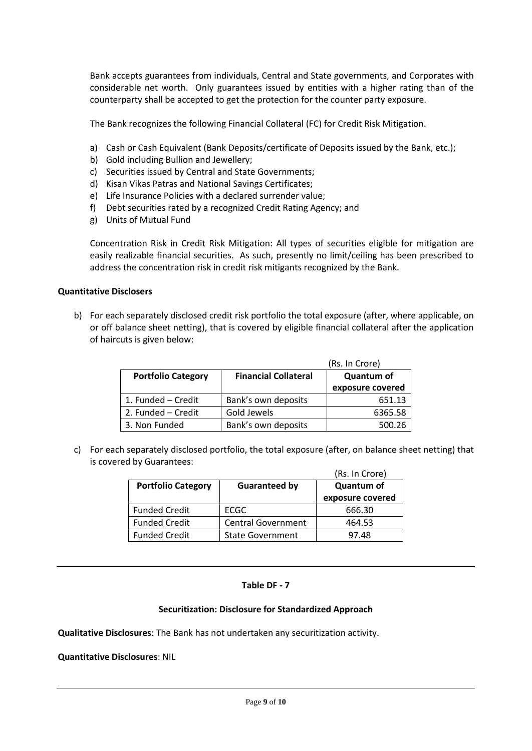Bank accepts guarantees from individuals, Central and State governments, and Corporates with considerable net worth. Only guarantees issued by entities with a higher rating than of the counterparty shall be accepted to get the protection for the counter party exposure.

The Bank recognizes the following Financial Collateral (FC) for Credit Risk Mitigation.

- a) Cash or Cash Equivalent (Bank Deposits/certificate of Deposits issued by the Bank, etc.);
- b) Gold including Bullion and Jewellery;
- c) Securities issued by Central and State Governments;
- d) Kisan Vikas Patras and National Savings Certificates;
- e) Life Insurance Policies with a declared surrender value;
- f) Debt securities rated by a recognized Credit Rating Agency; and
- g) Units of Mutual Fund

Concentration Risk in Credit Risk Mitigation: All types of securities eligible for mitigation are easily realizable financial securities. As such, presently no limit/ceiling has been prescribed to address the concentration risk in credit risk mitigants recognized by the Bank.

## **Quantitative Disclosers**

b) For each separately disclosed credit risk portfolio the total exposure (after, where applicable, on or off balance sheet netting), that is covered by eligible financial collateral after the application of haircuts is given below:

|                           | (Rs. In Crore)              |                   |
|---------------------------|-----------------------------|-------------------|
| <b>Portfolio Category</b> | <b>Financial Collateral</b> | <b>Quantum of</b> |
|                           |                             | exposure covered  |
| 1. Funded - Credit        | Bank's own deposits         | 651.13            |
| 2. Funded – Credit        | Gold Jewels                 | 6365.58           |
| 3. Non Funded             | Bank's own deposits         | 500.26            |

c) For each separately disclosed portfolio, the total exposure (after, on balance sheet netting) that is covered by Guarantees:

|                           |                           | (Rs. In Crore)    |
|---------------------------|---------------------------|-------------------|
| <b>Portfolio Category</b> | <b>Guaranteed by</b>      | <b>Quantum of</b> |
|                           |                           | exposure covered  |
| <b>Funded Credit</b>      | ECGC                      | 666.30            |
| <b>Funded Credit</b>      | <b>Central Government</b> | 464.53            |
| <b>Funded Credit</b>      | <b>State Government</b>   | 97.48             |

## **Table DF - 7**

## **Securitization: Disclosure for Standardized Approach**

**Qualitative Disclosures**: The Bank has not undertaken any securitization activity.

**Quantitative Disclosures**: NIL